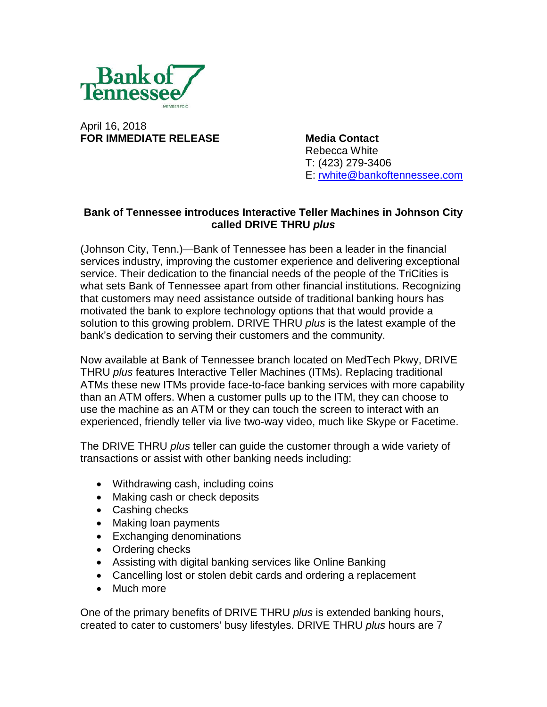

April 16, 2018 **FOR IMMEDIATE RELEASE Media Contact**

Rebecca White T: (423) 279-3406 E: [rwhite@bankoftennessee.com](mailto:rwhite@bankoftennessee.com)

## **Bank of Tennessee introduces Interactive Teller Machines in Johnson City called DRIVE THRU** *plus*

(Johnson City, Tenn.)—Bank of Tennessee has been a leader in the financial services industry, improving the customer experience and delivering exceptional service. Their dedication to the financial needs of the people of the TriCities is what sets Bank of Tennessee apart from other financial institutions. Recognizing that customers may need assistance outside of traditional banking hours has motivated the bank to explore technology options that that would provide a solution to this growing problem. DRIVE THRU *plus* is the latest example of the bank's dedication to serving their customers and the community.

Now available at Bank of Tennessee branch located on MedTech Pkwy, DRIVE THRU *plus* features Interactive Teller Machines (ITMs). Replacing traditional ATMs these new ITMs provide face-to-face banking services with more capability than an ATM offers. When a customer pulls up to the ITM, they can choose to use the machine as an ATM or they can touch the screen to interact with an experienced, friendly teller via live two-way video, much like Skype or Facetime.

The DRIVE THRU *plus* teller can guide the customer through a wide variety of transactions or assist with other banking needs including:

- Withdrawing cash, including coins
- Making cash or check deposits
- Cashing checks
- Making loan payments
- Exchanging denominations
- Ordering checks
- Assisting with digital banking services like Online Banking
- Cancelling lost or stolen debit cards and ordering a replacement
- Much more

One of the primary benefits of DRIVE THRU *plus* is extended banking hours, created to cater to customers' busy lifestyles. DRIVE THRU *plus* hours are 7